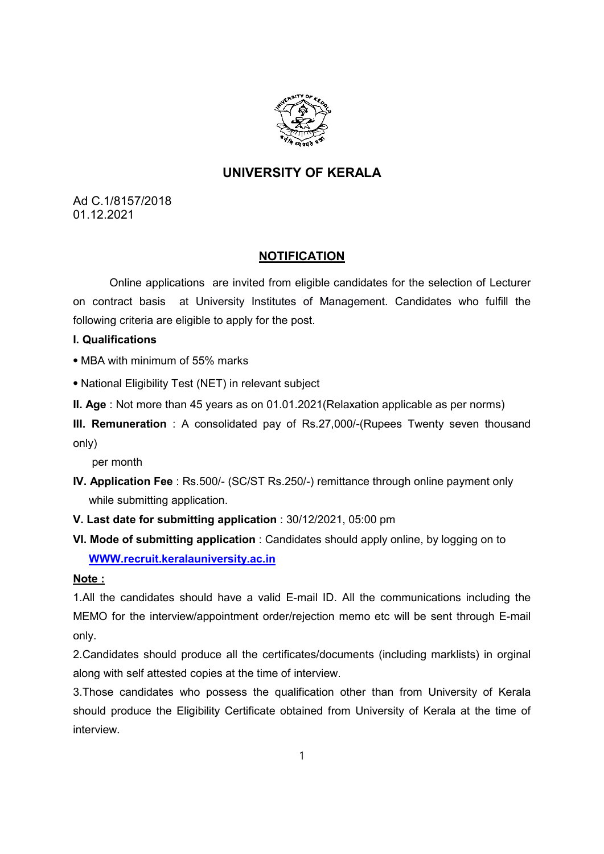

# UNIVERSITY OF KERALA

Ad C.1/8157/2018 01.12.2021

### NOTIFICATION

Online applications are invited from eligible candidates for the selection of Lecturer on contract basis at University Institutes of Management. Candidates who fulfill the following criteria are eligible to apply for the post.

#### I. Qualifications

⦁ MBA with minimum of 55% marks

⦁ National Eligibility Test (NET) in relevant subject

II. Age : Not more than 45 years as on 01.01.2021(Relaxation applicable as per norms)

III. Remuneration : A consolidated pay of Rs.27,000/-(Rupees Twenty seven thousand only)

per month

IV. Application Fee : Rs.500/- (SC/ST Rs.250/-) remittance through online payment only while submitting application.

V. Last date for submitting application : 30/12/2021, 05:00 pm

VI. Mode of submitting application : Candidates should apply online, by logging on to WWW.recruit.keralauniversity.ac.in

### Note :

1.All the candidates should have a valid E-mail ID. All the communications including the MEMO for the interview/appointment order/rejection memo etc will be sent through E-mail only.

2.Candidates should produce all the certificates/documents (including marklists) in orginal along with self attested copies at the time of interview.

3.Those candidates who possess the qualification other than from University of Kerala should produce the Eligibility Certificate obtained from University of Kerala at the time of interview.